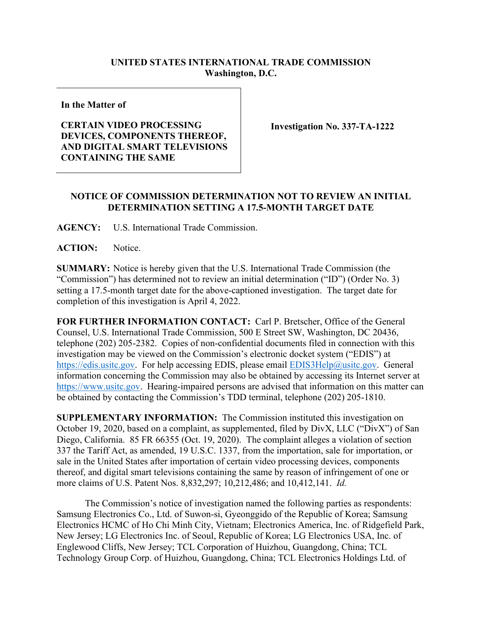## **UNITED STATES INTERNATIONAL TRADE COMMISSION Washington, D.C.**

**In the Matter of**

## **CERTAIN VIDEO PROCESSING DEVICES, COMPONENTS THEREOF, AND DIGITAL SMART TELEVISIONS CONTAINING THE SAME**

**Investigation No. 337-TA-1222**

## **NOTICE OF COMMISSION DETERMINATION NOT TO REVIEW AN INITIAL DETERMINATION SETTING A 17.5-MONTH TARGET DATE**

**AGENCY:** U.S. International Trade Commission.

ACTION: Notice.

**SUMMARY:** Notice is hereby given that the U.S. International Trade Commission (the "Commission") has determined not to review an initial determination ("ID") (Order No. 3) setting a 17.5-month target date for the above-captioned investigation. The target date for completion of this investigation is April 4, 2022.

**FOR FURTHER INFORMATION CONTACT:** Carl P. Bretscher, Office of the General Counsel, U.S. International Trade Commission, 500 E Street SW, Washington, DC 20436, telephone (202) 205-2382. Copies of non-confidential documents filed in connection with this investigation may be viewed on the Commission's electronic docket system ("EDIS") at [https://edis.usitc.gov.](https://edis.usitc.gov/) For help accessing EDIS, please email [EDIS3Help@usitc.gov.](mailto:EDIS3Help@usitc.gov) General information concerning the Commission may also be obtained by accessing its Internet server at [https://www.usitc.gov.](https://www.usitc.gov/) Hearing-impaired persons are advised that information on this matter can be obtained by contacting the Commission's TDD terminal, telephone (202) 205-1810.

**SUPPLEMENTARY INFORMATION:** The Commission instituted this investigation on October 19, 2020, based on a complaint, as supplemented, filed by DivX, LLC ("DivX") of San Diego, California. 85 FR 66355 (Oct. 19, 2020). The complaint alleges a violation of section 337 the Tariff Act, as amended, 19 U.S.C. 1337, from the importation, sale for importation, or sale in the United States after importation of certain video processing devices, components thereof, and digital smart televisions containing the same by reason of infringement of one or more claims of U.S. Patent Nos. 8,832,297; 10,212,486; and 10,412,141. *Id.*

The Commission's notice of investigation named the following parties as respondents: Samsung Electronics Co., Ltd. of Suwon-si, Gyeonggido of the Republic of Korea; Samsung Electronics HCMC of Ho Chi Minh City, Vietnam; Electronics America, Inc. of Ridgefield Park, New Jersey; LG Electronics Inc. of Seoul, Republic of Korea; LG Electronics USA, Inc. of Englewood Cliffs, New Jersey; TCL Corporation of Huizhou, Guangdong, China; TCL Technology Group Corp. of Huizhou, Guangdong, China; TCL Electronics Holdings Ltd. of